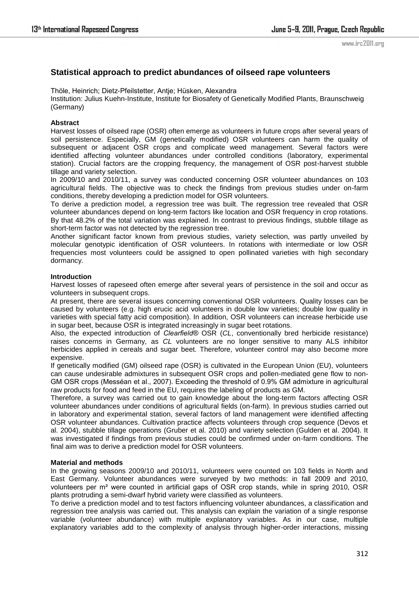# **Statistical approach to predict abundances of oilseed rape volunteers**

Thöle, Heinrich; Dietz-Pfeilstetter, Antje; Hüsken, Alexandra Institution: Julius Kuehn-Institute, Institute for Biosafety of Genetically Modified Plants, Braunschweig (Germany)

# **Abstract**

Harvest losses of oilseed rape (OSR) often emerge as volunteers in future crops after several years of soil persistence. Especially, GM (genetically modified) OSR volunteers can harm the quality of subsequent or adjacent OSR crops and complicate weed management. Several factors were identified affecting volunteer abundances under controlled conditions (laboratory, experimental station). Crucial factors are the cropping frequency, the management of OSR post-harvest stubble tillage and variety selection.

In 2009/10 and 2010/11, a survey was conducted concerning OSR volunteer abundances on 103 agricultural fields. The objective was to check the findings from previous studies under on-farm conditions, thereby developing a prediction model for OSR volunteers.

To derive a prediction model, a regression tree was built. The regression tree revealed that OSR volunteer abundances depend on long-term factors like location and OSR frequency in crop rotations. By that 48.2% of the total variation was explained. In contrast to previous findings, stubble tillage as short-term factor was not detected by the regression tree.

Another significant factor known from previous studies, variety selection, was partly unveiled by molecular genotypic identification of OSR volunteers. In rotations with intermediate or low OSR frequencies most volunteers could be assigned to open pollinated varieties with high secondary dormancy.

# **Introduction**

Harvest losses of rapeseed often emerge after several years of persistence in the soil and occur as volunteers in subsequent crops.

At present, there are several issues concerning conventional OSR volunteers. Quality losses can be caused by volunteers (e.g. high erucic acid volunteers in double low varieties; double low quality in varieties with special fatty acid composition). In addition, OSR volunteers can increase herbicide use in sugar beet, because OSR is integrated increasingly in sugar beet rotations.

Also, the expected introduction of *Clearfield®* OSR (*CL*, conventionally bred herbicide resistance) raises concerns in Germany, as *CL* volunteers are no longer sensitive to many ALS inhibitor herbicides applied in cereals and sugar beet. Therefore, volunteer control may also become more expensive.

If genetically modified (GM) oilseed rape (OSR) is cultivated in the European Union (EU), volunteers can cause undesirable admixtures in subsequent OSR crops and pollen-mediated gene flow to non-GM OSR crops (Messéan et al., 2007). Exceeding the threshold of 0.9% GM admixture in agricultural raw products for food and feed in the EU, requires the labeling of products as GM.

Therefore, a survey was carried out to gain knowledge about the long-term factors affecting OSR volunteer abundances under conditions of agricultural fields (on-farm). In previous studies carried out in laboratory and experimental station, several factors of land management were identified affecting OSR volunteer abundances. Cultivation practice affects volunteers through crop sequence (Devos et al. 2004), stubble tillage operations (Gruber et al. 2010) and variety selection (Gulden et al. 2004). It was investigated if findings from previous studies could be confirmed under on-farm conditions. The final aim was to derive a prediction model for OSR volunteers.

### **Material and methods**

In the growing seasons 2009/10 and 2010/11, volunteers were counted on 103 fields in North and East Germany. Volunteer abundances were surveyed by two methods: in fall 2009 and 2010, volunteers per m² were counted in artificial gaps of OSR crop stands, while in spring 2010, OSR plants protruding a semi-dwarf hybrid variety were classified as volunteers.

To derive a prediction model and to test factors influencing volunteer abundances, a classification and regression tree analysis was carried out. This analysis can explain the variation of a single response variable (volunteer abundance) with multiple explanatory variables. As in our case, multiple explanatory variables add to the complexity of analysis through higher-order interactions, missing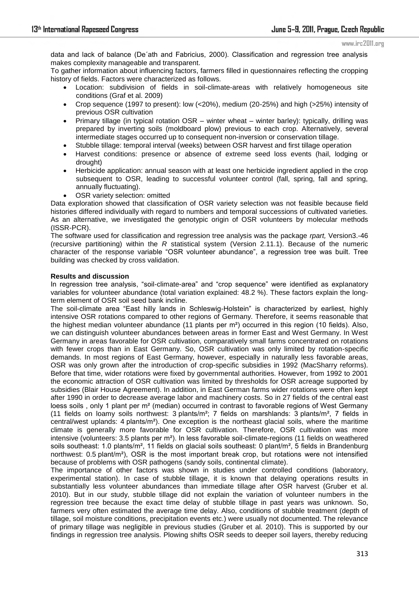www.irc2011.org

data and lack of balance (De´ath and Fabricius, 2000). Classification and regression tree analysis makes complexity manageable and transparent.

To gather information about influencing factors, farmers filled in questionnaires reflecting the cropping history of fields. Factors were characterized as follows.

- Location: subdivision of fields in soil-climate-areas with relatively homogeneous site conditions (Graf et al. 2009)
- Crop sequence (1997 to present): low (<20%), medium (20-25%) and high (>25%) intensity of previous OSR cultivation
- Primary tillage (in typical rotation OSR winter wheat winter barley): typically, drilling was prepared by inverting soils (moldboard plow) previous to each crop. Alternatively, several intermediate stages occurred up to consequent non-inversion or conservation tillage.
- Stubble tillage: temporal interval (weeks) between OSR harvest and first tillage operation
- Harvest conditions: presence or absence of extreme seed loss events (hail, lodging or drought)
- Herbicide application: annual season with at least one herbicide ingredient applied in the crop subsequent to OSR, leading to successful volunteer control (fall, spring, fall and spring, annually fluctuating).
- OSR variety selection: omitted

Data exploration showed that classification of OSR variety selection was not feasible because field histories differed individually with regard to numbers and temporal successions of cultivated varieties. As an alternative, we investigated the genotypic origin of OSR volunteers by molecular methods (ISSR-PCR).

The software used for classification and regression tree analysis was the package *rpart,* Version3.-46 (recursive partitioning) within the *R* statistical system (Version 2.11.1). Because of the numeric character of the response variable "OSR volunteer abundance", a regression tree was built. Tree building was checked by cross validation.

# **Results and discussion**

In regression tree analysis, "soil-climate-area" and "crop sequence" were identified as explanatory variables for volunteer abundance (total variation explained: 48.2 %). These factors explain the longterm element of OSR soil seed bank incline.

The soil-climate area "East hilly lands in Schleswig-Holstein" is characterized by earliest, highly intensive OSR rotations compared to other regions of Germany. Therefore, it seems reasonable that the highest median volunteer abundance (11 plants per  $m<sup>2</sup>$ ) occurred in this region (10 fields). Also, we can distinguish volunteer abundances between areas in former East and West Germany. In West Germany in areas favorable for OSR cultivation, comparatively small farms concentrated on rotations with fewer crops than in East Germany. So, OSR cultivation was only limited by rotation-specific demands. In most regions of East Germany, however, especially in naturally less favorable areas, OSR was only grown after the introduction of crop-specific subsidies in 1992 (MacSharry reforms). Before that time, wider rotations were fixed by governmental authorities. However, from 1992 to 2001 the economic attraction of OSR cultivation was limited by thresholds for OSR acreage supported by subsidies (Blair House Agreement). In addition, in East German farms wider rotations were often kept after 1990 in order to decrease average labor and machinery costs. So in 27 fields of the central east loess soils, only 1 plant per m<sup>2</sup> (median) occurred in contrast to favorable regions of West Germany (11 fields on loamy soils northwest: 3 plants/m²; 7 fields on marshlands: 3 plants/m², 7 fields in central/west uplands: 4 plants/m²). One exception is the northeast glacial soils, where the maritime climate is generally more favorable for OSR cultivation. Therefore, OSR cultivation was more intensive (volunteers: 3.5 plants per  $m<sup>2</sup>$ ). In less favorable soil-climate-regions (11 fields on weathered soils southeast: 1.0 plants/m<sup>2</sup>, 11 fields on glacial soils southeast: 0 plant/m<sup>2</sup>, 5 fields in Brandenburg northwest: 0.5 plant/m²), OSR is the most important break crop, but rotations were not intensified because of problems with OSR pathogens (sandy soils, continental climate).

The importance of other factors was shown in studies under controlled conditions (laboratory, experimental station). In case of stubble tillage, it is known that delaying operations results in substantially less volunteer abundances than immediate tillage after OSR harvest (Gruber et al. 2010). But in our study, stubble tillage did not explain the variation of volunteer numbers in the regression tree because the exact time delay of stubble tillage in past years was unknown. So, farmers very often estimated the average time delay. Also, conditions of stubble treatment (depth of tillage, soil moisture conditions, precipitation events etc.) were usually not documented. The relevance of primary tillage was negligible in previous studies (Gruber et al. 2010). This is supported by our findings in regression tree analysis. Plowing shifts OSR seeds to deeper soil layers, thereby reducing